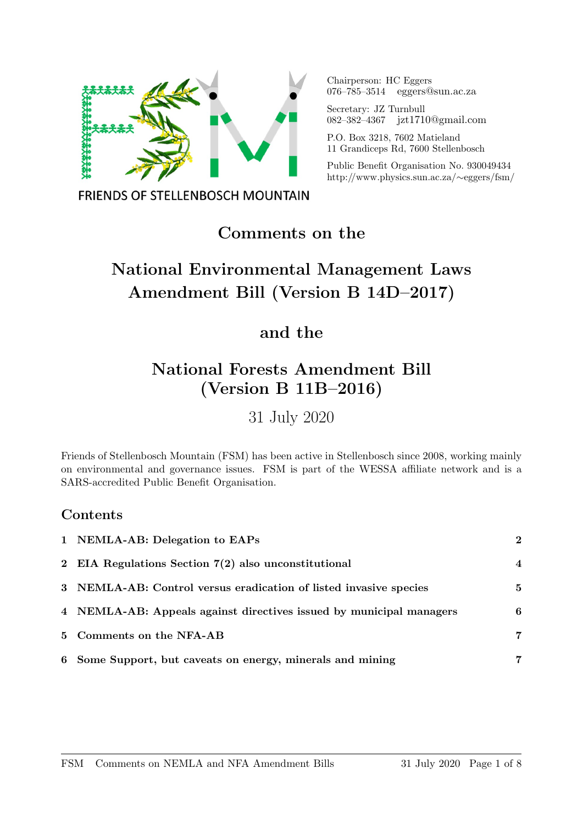

Chairperson: HC Eggers 076–785–3514 eggers@sun.ac.za

Secretary: JZ Turnbull 082–382–4367 jzt1710@gmail.com

P.O. Box 3218, 7602 Matieland 11 Grandiceps Rd, 7600 Stellenbosch

Public Benefit Organisation No. 930049434 http://www.physics.sun.ac.za/∼eggers/fsm/

**FRIENDS OF STELLENBOSCH MOUNTAIN** 

## Comments on the

# National Environmental Management Laws Amendment Bill (Version B 14D–2017)

## and the

# National Forests Amendment Bill (Version B 11B–2016)

31 July 2020

Friends of Stellenbosch Mountain (FSM) has been active in Stellenbosch since 2008, working mainly on environmental and governance issues. FSM is part of the WESSA affiliate network and is a SARS-accredited Public Benefit Organisation.

### Contents

| 1 NEMLA-AB: Delegation to EAPs                                      | $\bf{2}$       |
|---------------------------------------------------------------------|----------------|
| 2 EIA Regulations Section $7(2)$ also unconstitutional              | $\overline{4}$ |
| 3 NEMLA-AB: Control versus eradication of listed invasive species   | 5              |
| 4 NEMLA-AB: Appeals against directives issued by municipal managers | 6              |
| 5 Comments on the NFA-AB                                            | 7              |
| 6 Some Support, but caveats on energy, minerals and mining          | 7              |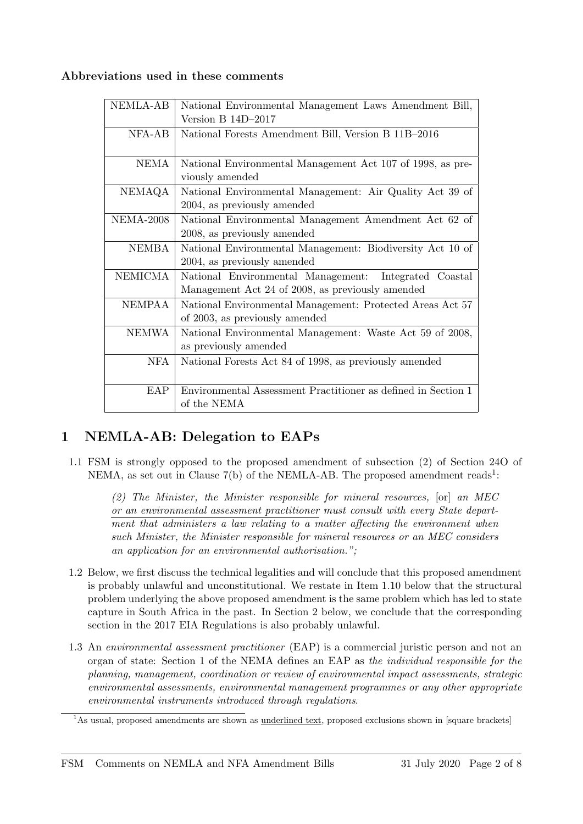#### Abbreviations used in these comments

| <b>NEMLA-AB</b>  | National Environmental Management Laws Amendment Bill,        |
|------------------|---------------------------------------------------------------|
|                  | Version B $14D-2017$                                          |
| $NFA-AB$         | National Forests Amendment Bill, Version B 11B-2016           |
|                  |                                                               |
| NEMA             | National Environmental Management Act 107 of 1998, as pre-    |
|                  | viously amended                                               |
| NEMAQA           | National Environmental Management: Air Quality Act 39 of      |
|                  | 2004, as previously amended                                   |
| <b>NEMA-2008</b> | National Environmental Management Amendment Act 62 of         |
|                  | 2008, as previously amended                                   |
| <b>NEMBA</b>     | National Environmental Management: Biodiversity Act 10 of     |
|                  | 2004, as previously amended                                   |
| <b>NEMICMA</b>   | National Environmental Management: Integrated Coastal         |
|                  | Management Act 24 of 2008, as previously amended              |
| NEMPAA           | National Environmental Management: Protected Areas Act 57     |
|                  | of 2003, as previously amended                                |
| <b>NEMWA</b>     | National Environmental Management: Waste Act 59 of 2008,      |
|                  | as previously amended                                         |
| <b>NFA</b>       | National Forests Act 84 of 1998, as previously amended        |
|                  |                                                               |
| EAP              | Environmental Assessment Practitioner as defined in Section 1 |
|                  | of the NEMA                                                   |

### 1 NEMLA-AB: Delegation to EAPs

1.1 FSM is strongly opposed to the proposed amendment of subsection (2) of Section 24O of NEMA, as set out in Clause  $7(b)$  of the NEMLA-AB. The proposed amendment reads<sup>1</sup>:

(2) The Minister, the Minister responsible for mineral resources, [or] an MEC or an environmental assessment practitioner must consult with every State department that administers a law relating to a matter affecting the environment when such Minister, the Minister responsible for mineral resources or an MEC considers an application for an environmental authorisation.";

- 1.2 Below, we first discuss the technical legalities and will conclude that this proposed amendment is probably unlawful and unconstitutional. We restate in Item 1.10 below that the structural problem underlying the above proposed amendment is the same problem which has led to state capture in South Africa in the past. In Section 2 below, we conclude that the corresponding section in the 2017 EIA Regulations is also probably unlawful.
- 1.3 An environmental assessment practitioner (EAP) is a commercial juristic person and not an organ of state: Section 1 of the NEMA defines an EAP as the individual responsible for the planning, management, coordination or review of environmental impact assessments, strategic environmental assessments, environmental management programmes or any other appropriate environmental instruments introduced through regulations.

 $1$ As usual, proposed amendments are shown as <u>underlined text</u>, proposed exclusions shown in [square brackets]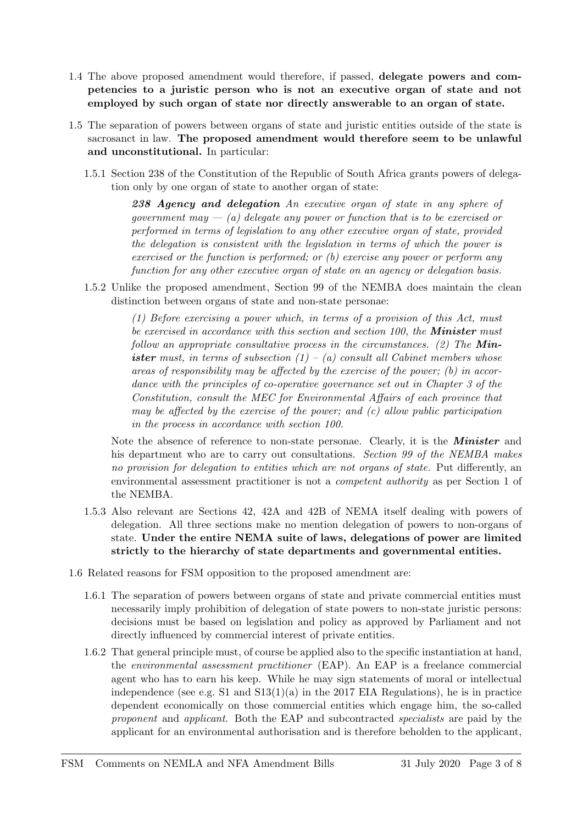- 1.4 The above proposed amendment would therefore, if passed, delegate powers and competencies to a juristic person who is not an executive organ of state and not employed by such organ of state nor directly answerable to an organ of state.
- 1.5 The separation of powers between organs of state and juristic entities outside of the state is sacrosanct in law. The proposed amendment would therefore seem to be unlawful and unconstitutional. In particular:
	- 1.5.1 Section 238 of the Constitution of the Republic of South Africa grants powers of delegation only by one organ of state to another organ of state:

238 Agency and delegation An executive organ of state in any sphere of government may  $-$  (a) delegate any power or function that is to be exercised or performed in terms of legislation to any other executive organ of state, provided the delegation is consistent with the legislation in terms of which the power is exercised or the function is performed; or (b) exercise any power or perform any function for any other executive organ of state on an agency or delegation basis.

1.5.2 Unlike the proposed amendment, Section 99 of the NEMBA does maintain the clean distinction between organs of state and non-state personae:

> (1) Before exercising a power which, in terms of a provision of this Act, must be exercised in accordance with this section and section  $100$ , the **Minister** must follow an appropriate consultative process in the circumstances. (2) The **Min**ister must, in terms of subsection  $(1) - (a)$  consult all Cabinet members whose areas of responsibility may be affected by the exercise of the power; (b) in accordance with the principles of co-operative governance set out in Chapter 3 of the Constitution, consult the MEC for Environmental Affairs of each province that may be affected by the exercise of the power; and  $(c)$  allow public participation in the process in accordance with section 100.

Note the absence of reference to non-state personae. Clearly, it is the **Minister** and his department who are to carry out consultations. Section 99 of the NEMBA makes no provision for delegation to entities which are not organs of state. Put differently, an environmental assessment practitioner is not a competent authority as per Section 1 of the NEMBA.

- 1.5.3 Also relevant are Sections 42, 42A and 42B of NEMA itself dealing with powers of delegation. All three sections make no mention delegation of powers to non-organs of state. Under the entire NEMA suite of laws, delegations of power are limited strictly to the hierarchy of state departments and governmental entities.
- 1.6 Related reasons for FSM opposition to the proposed amendment are:
	- 1.6.1 The separation of powers between organs of state and private commercial entities must necessarily imply prohibition of delegation of state powers to non-state juristic persons: decisions must be based on legislation and policy as approved by Parliament and not directly influenced by commercial interest of private entities.
	- 1.6.2 That general principle must, of course be applied also to the specific instantiation at hand, the environmental assessment practitioner (EAP). An EAP is a freelance commercial agent who has to earn his keep. While he may sign statements of moral or intellectual independence (see e.g. S1 and  $S13(1)(a)$  in the 2017 EIA Regulations), he is in practice dependent economically on those commercial entities which engage him, the so-called proponent and applicant. Both the EAP and subcontracted specialists are paid by the applicant for an environmental authorisation and is therefore beholden to the applicant,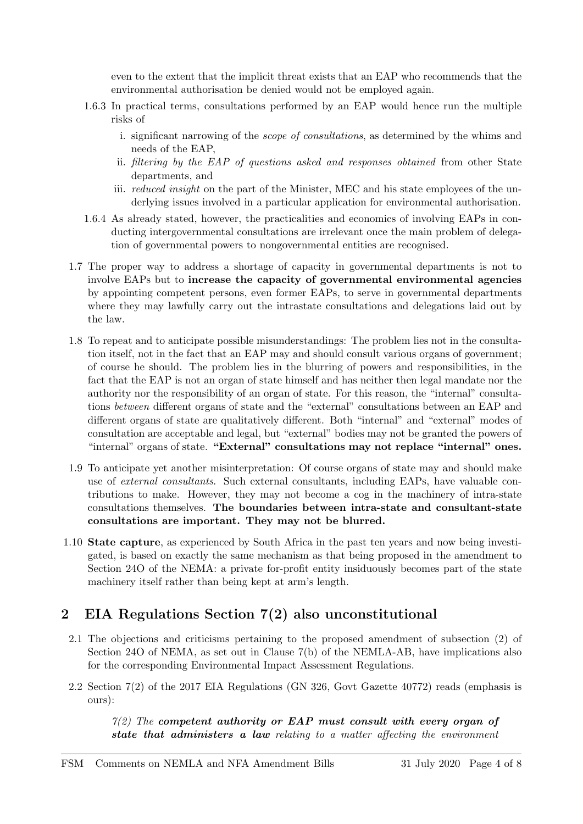even to the extent that the implicit threat exists that an EAP who recommends that the environmental authorisation be denied would not be employed again.

- 1.6.3 In practical terms, consultations performed by an EAP would hence run the multiple risks of
	- i. significant narrowing of the scope of consultations, as determined by the whims and needs of the EAP,
	- ii. filtering by the EAP of questions asked and responses obtained from other State departments, and
	- iii. *reduced insight* on the part of the Minister, MEC and his state employees of the underlying issues involved in a particular application for environmental authorisation.
- 1.6.4 As already stated, however, the practicalities and economics of involving EAPs in conducting intergovernmental consultations are irrelevant once the main problem of delegation of governmental powers to nongovernmental entities are recognised.
- 1.7 The proper way to address a shortage of capacity in governmental departments is not to involve EAPs but to increase the capacity of governmental environmental agencies by appointing competent persons, even former EAPs, to serve in governmental departments where they may lawfully carry out the intrastate consultations and delegations laid out by the law.
- 1.8 To repeat and to anticipate possible misunderstandings: The problem lies not in the consultation itself, not in the fact that an EAP may and should consult various organs of government; of course he should. The problem lies in the blurring of powers and responsibilities, in the fact that the EAP is not an organ of state himself and has neither then legal mandate nor the authority nor the responsibility of an organ of state. For this reason, the "internal" consultations between different organs of state and the "external" consultations between an EAP and different organs of state are qualitatively different. Both "internal" and "external" modes of consultation are acceptable and legal, but "external" bodies may not be granted the powers of "internal" organs of state. "External" consultations may not replace "internal" ones.
- 1.9 To anticipate yet another misinterpretation: Of course organs of state may and should make use of external consultants. Such external consultants, including EAPs, have valuable contributions to make. However, they may not become a cog in the machinery of intra-state consultations themselves. The boundaries between intra-state and consultant-state consultations are important. They may not be blurred.
- 1.10 State capture, as experienced by South Africa in the past ten years and now being investigated, is based on exactly the same mechanism as that being proposed in the amendment to Section 24O of the NEMA: a private for-profit entity insiduously becomes part of the state machinery itself rather than being kept at arm's length.

### 2 EIA Regulations Section 7(2) also unconstitutional

- 2.1 The objections and criticisms pertaining to the proposed amendment of subsection (2) of Section 24O of NEMA, as set out in Clause 7(b) of the NEMLA-AB, have implications also for the corresponding Environmental Impact Assessment Regulations.
- 2.2 Section 7(2) of the 2017 EIA Regulations (GN 326, Govt Gazette 40772) reads (emphasis is ours):

 $7(2)$  The competent authority or EAP must consult with every organ of state that administers a law relating to a matter affecting the environment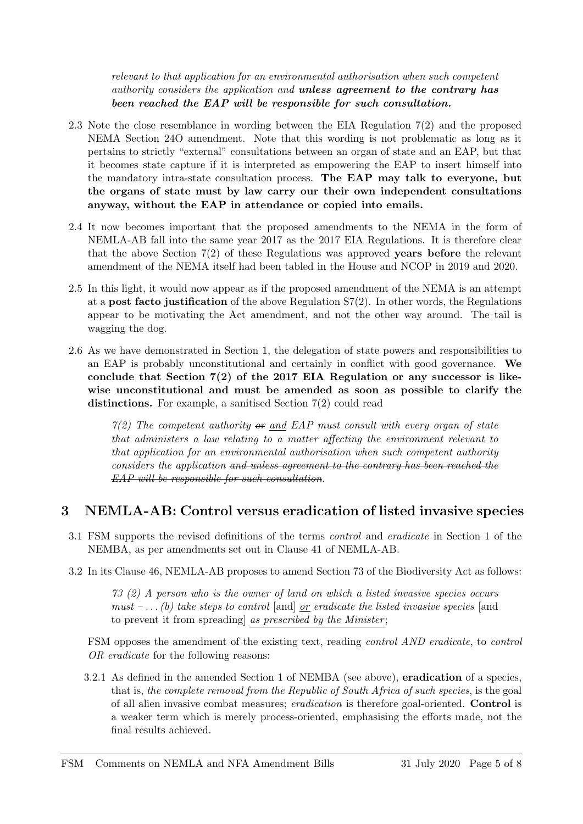relevant to that application for an environmental authorisation when such competent authority considers the application and unless agreement to the contrary has been reached the EAP will be responsible for such consultation.

- 2.3 Note the close resemblance in wording between the EIA Regulation 7(2) and the proposed NEMA Section 24O amendment. Note that this wording is not problematic as long as it pertains to strictly "external" consultations between an organ of state and an EAP, but that it becomes state capture if it is interpreted as empowering the EAP to insert himself into the mandatory intra-state consultation process. The EAP may talk to everyone, but the organs of state must by law carry our their own independent consultations anyway, without the EAP in attendance or copied into emails.
- 2.4 It now becomes important that the proposed amendments to the NEMA in the form of NEMLA-AB fall into the same year 2017 as the 2017 EIA Regulations. It is therefore clear that the above Section 7(2) of these Regulations was approved years before the relevant amendment of the NEMA itself had been tabled in the House and NCOP in 2019 and 2020.
- 2.5 In this light, it would now appear as if the proposed amendment of the NEMA is an attempt at a post facto justification of the above Regulation S7(2). In other words, the Regulations appear to be motivating the Act amendment, and not the other way around. The tail is wagging the dog.
- 2.6 As we have demonstrated in Section 1, the delegation of state powers and responsibilities to an EAP is probably unconstitutional and certainly in conflict with good governance. We conclude that Section 7(2) of the 2017 EIA Regulation or any successor is likewise unconstitutional and must be amended as soon as possible to clarify the distinctions. For example, a sanitised Section 7(2) could read

 $7(2)$  The competent authority  $\theta$  and EAP must consult with every organ of state that administers a law relating to a matter affecting the environment relevant to that application for an environmental authorisation when such competent authority considers the application and unless agreement to the contrary has been reached the EAP will be responsible for such consultation.

### 3 NEMLA-AB: Control versus eradication of listed invasive species

- 3.1 FSM supports the revised definitions of the terms control and eradicate in Section 1 of the NEMBA, as per amendments set out in Clause 41 of NEMLA-AB.
- 3.2 In its Clause 46, NEMLA-AB proposes to amend Section 73 of the Biodiversity Act as follows:

73 (2) A person who is the owner of land on which a listed invasive species occurs must  $-\ldots$  (b) take steps to control [and] or eradicate the listed invasive species [and to prevent it from spreading as prescribed by the Minister;

FSM opposes the amendment of the existing text, reading control AND eradicate, to control OR eradicate for the following reasons:

3.2.1 As defined in the amended Section 1 of NEMBA (see above), eradication of a species, that is, the complete removal from the Republic of South Africa of such species, is the goal of all alien invasive combat measures; eradication is therefore goal-oriented. Control is a weaker term which is merely process-oriented, emphasising the efforts made, not the final results achieved.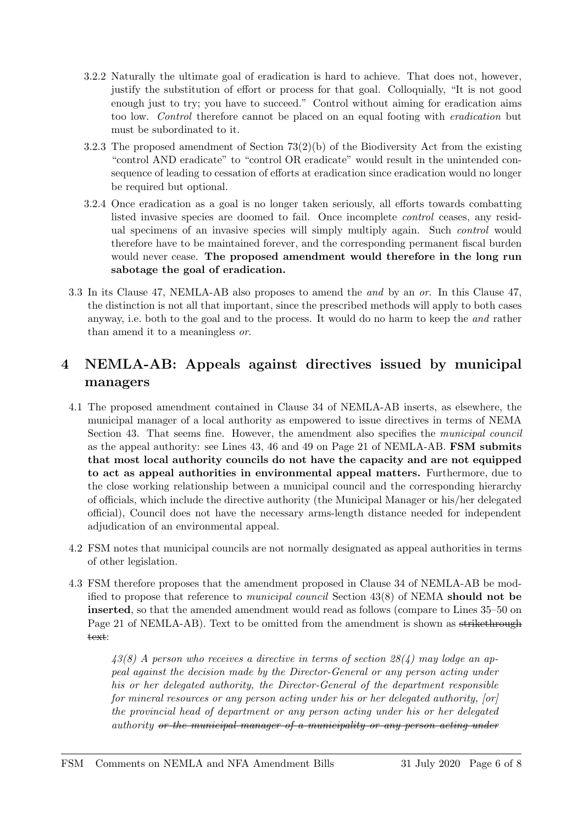- 3.2.2 Naturally the ultimate goal of eradication is hard to achieve. That does not, however, justify the substitution of effort or process for that goal. Colloquially, "It is not good enough just to try; you have to succeed." Control without aiming for eradication aims too low. Control therefore cannot be placed on an equal footing with eradication but must be subordinated to it.
- 3.2.3 The proposed amendment of Section  $73(2)(b)$  of the Biodiversity Act from the existing "control AND eradicate" to "control OR eradicate" would result in the unintended consequence of leading to cessation of efforts at eradication since eradication would no longer be required but optional.
- 3.2.4 Once eradication as a goal is no longer taken seriously, all efforts towards combatting listed invasive species are doomed to fail. Once incomplete control ceases, any residual specimens of an invasive species will simply multiply again. Such *control* would therefore have to be maintained forever, and the corresponding permanent fiscal burden would never cease. The proposed amendment would therefore in the long run sabotage the goal of eradication.
- 3.3 In its Clause 47, NEMLA-AB also proposes to amend the and by an or. In this Clause 47, the distinction is not all that important, since the prescribed methods will apply to both cases anyway, i.e. both to the goal and to the process. It would do no harm to keep the and rather than amend it to a meaningless or.

### 4 NEMLA-AB: Appeals against directives issued by municipal managers

- 4.1 The proposed amendment contained in Clause 34 of NEMLA-AB inserts, as elsewhere, the municipal manager of a local authority as empowered to issue directives in terms of NEMA Section 43. That seems fine. However, the amendment also specifies the *municipal council* as the appeal authority: see Lines 43, 46 and 49 on Page 21 of NEMLA-AB. FSM submits that most local authority councils do not have the capacity and are not equipped to act as appeal authorities in environmental appeal matters. Furthermore, due to the close working relationship between a municipal council and the corresponding hierarchy of officials, which include the directive authority (the Municipal Manager or his/her delegated official), Council does not have the necessary arms-length distance needed for independent adjudication of an environmental appeal.
- 4.2 FSM notes that municipal councils are not normally designated as appeal authorities in terms of other legislation.
- 4.3 FSM therefore proposes that the amendment proposed in Clause 34 of NEMLA-AB be modified to propose that reference to municipal council Section 43(8) of NEMA should not be inserted, so that the amended amendment would read as follows (compare to Lines 35–50 on Page 21 of NEMLA-AB). Text to be omitted from the amendment is shown as strikethrough text:

43(8) A person who receives a directive in terms of section 28(4) may lodge an appeal against the decision made by the Director-General or any person acting under his or her delegated authority, the Director-General of the department responsible for mineral resources or any person acting under his or her delegated authority, [or] the provincial head of department or any person acting under his or her delegated authority or the municipal manager of a municipality or any person acting under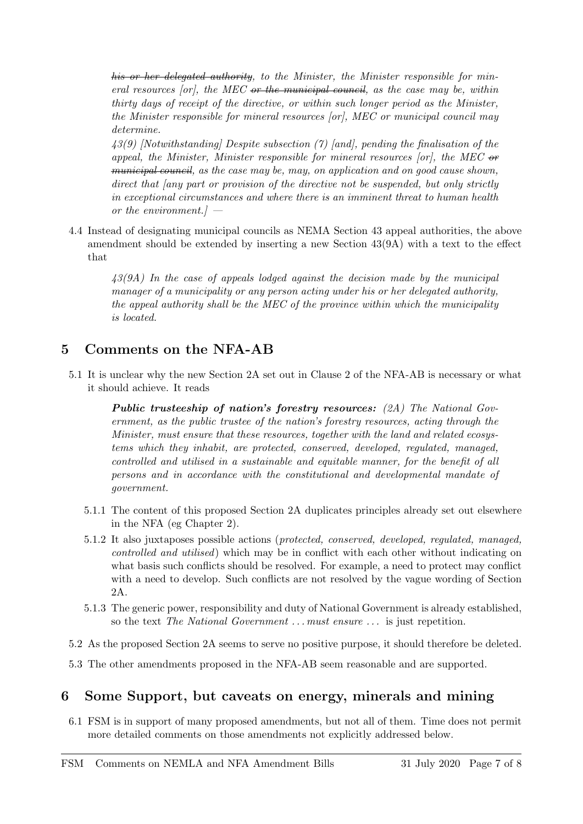his or her delegated authority, to the Minister, the Minister responsible for mineral resources  $[or]$ , the MEC or the municipal council, as the case may be, within thirty days of receipt of the directive, or within such longer period as the Minister, the Minister responsible for mineral resources [or], MEC or municipal council may determine.

43(9) [Notwithstanding] Despite subsection (7) [and], pending the finalisation of the appeal, the Minister, Minister responsible for mineral resources  $[or]$ , the MEC or municipal council, as the case may be, may, on application and on good cause shown, direct that (any part or provision of the directive not be suspended, but only strictly in exceptional circumstances and where there is an imminent threat to human health or the environment. $l -$ 

4.4 Instead of designating municipal councils as NEMA Section 43 appeal authorities, the above amendment should be extended by inserting a new Section 43(9A) with a text to the effect that

43(9A) In the case of appeals lodged against the decision made by the municipal manager of a municipality or any person acting under his or her delegated authority, the appeal authority shall be the MEC of the province within which the municipality is located.

#### 5 Comments on the NFA-AB

5.1 It is unclear why the new Section 2A set out in Clause 2 of the NFA-AB is necessary or what it should achieve. It reads

**Public trusteeship of nation's forestry resources:** (2A) The National Government, as the public trustee of the nation's forestry resources, acting through the Minister, must ensure that these resources, together with the land and related ecosystems which they inhabit, are protected, conserved, developed, regulated, managed, controlled and utilised in a sustainable and equitable manner, for the benefit of all persons and in accordance with the constitutional and developmental mandate of government.

- 5.1.1 The content of this proposed Section 2A duplicates principles already set out elsewhere in the NFA (eg Chapter 2).
- 5.1.2 It also juxtaposes possible actions (protected, conserved, developed, regulated, managed, controlled and utilised) which may be in conflict with each other without indicating on what basis such conflicts should be resolved. For example, a need to protect may conflict with a need to develop. Such conflicts are not resolved by the vague wording of Section 2A.
- 5.1.3 The generic power, responsibility and duty of National Government is already established, so the text The National Government ... must ensure ... is just repetition.
- 5.2 As the proposed Section 2A seems to serve no positive purpose, it should therefore be deleted.
- 5.3 The other amendments proposed in the NFA-AB seem reasonable and are supported.

#### 6 Some Support, but caveats on energy, minerals and mining

6.1 FSM is in support of many proposed amendments, but not all of them. Time does not permit more detailed comments on those amendments not explicitly addressed below.